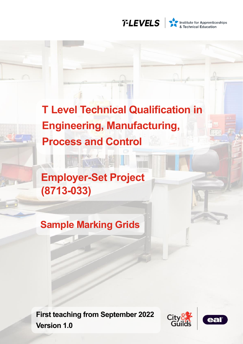

Institute for Apprenticeships<br>
& Technical Education

**T Level Technical Qualification in Engineering, Manufacturing, Process and Control**

**Employer-Set Project (8713-033)**

**Sample Marking Grids**

**First teaching from September 2022 Version 1.0**



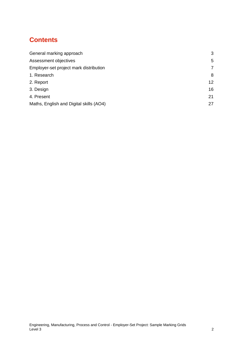# **Contents**

| General marking approach                | 3               |
|-----------------------------------------|-----------------|
| Assessment objectives                   | 5               |
| Employer-set project mark distribution  | 7               |
| 1. Research                             | 8               |
| 2. Report                               | 12 <sup>2</sup> |
| 3. Design                               | 16              |
| 4. Present                              | 21              |
| Maths, English and Digital skills (AO4) | 27              |
|                                         |                 |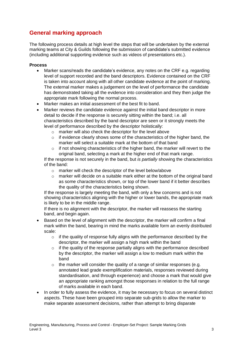### <span id="page-2-0"></span>**General marking approach**

The following process details at high level the steps that will be undertaken by the external marking teams at City & Guilds following the submission of candidate's submitted evidence (including additional supporting evidence such as videos of presentations etc.).

#### **Process**

- Marker scans/reads the candidate's evidence, any notes on the CRF e.g. regarding level of support recorded and the band descriptors. Evidence contained on the CRF is taken into account along with all other candidate evidence at the point of marking. The external marker makes a judgement on the level of performance the candidate has demonstrated taking all the evidence into consideration and they then judge the appropriate mark following the normal process.
- Marker makes an initial assessment of the best fit to band.
- Marker reviews the candidate evidence against the initial band descriptor in more detail to decide if the response is securely sitting within the band; i.e. all characteristics described by the band descriptor are seen or it strongly meets the level of performance described by the descriptor holistically:
	- o marker will also check the descriptor for the level above
	- $\circ$  if evidence clearly shows some of the characteristics of the higher band, the marker will select a suitable mark at the bottom of that band
	- $\circ$  if not showing characteristics of the higher band, the marker will revert to the original band, selecting a mark at the higher end of that mark range.

If the response is not securely in the band, but *is partially* showing the characteristics of the band:

- o marker will check the descriptor of the level below/above
- $\circ$  marker will decide on a suitable mark either at the bottom of the original band as some characteristics shown, or top of the lower band if it better describes the quality of the characteristics being shown.

If the response is largely meeting the band, with only a few concerns and is not showing characteristics aligning with the higher or lower bands, the appropriate mark is likely to be in the middle range.

If there is no alignment with the descriptor, the marker will reassess the starting band, and begin again.

- Based on the level of alignment with the descriptor, the marker will confirm a final mark within the band, bearing in mind the marks available form an evenly distributed scale:
	- $\circ$  if the quality of response fully aligns with the performance described by the descriptor, the marker will assign a high mark within the band
	- o if the quality of the response partially aligns with the performance described by the descriptor, the marker will assign a low to medium mark within the band
	- $\circ$  the marker will consider the quality of a range of similar responses (e.g. annotated lead grade exemplification materials, responses reviewed during standardisation, and through experience) and choose a mark that would give an appropriate ranking amongst those responses in relation to the full range of marks available in each band.
- In order to fully assess the evidence, it may be necessary to focus on several distinct aspects. These have been grouped into separate sub-grids to allow the marker to make separate assessment decisions, rather than attempt to bring disparate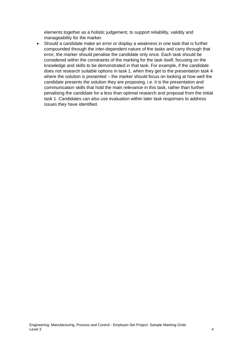elements together as a holistic judgement, to support reliability, validity and manageability for the marker.

• Should a candidate make an error or display a weakness in one task that is further compounded through the inter-dependent nature of the tasks and carry through that error, the marker should penalise the candidate only once. Each task should be considered within the constraints of the marking for the task itself, focusing on the knowledge and skills to be demonstrated in that task. For example, if the candidate does not research suitable options in task 1, when they get to the presentation task 4 where the solution is presented – the marker should focus on looking at how well the candidate presents the solution they are proposing, i.e. it is the presentation and communication skills that hold the main relevance in this task, rather than further penalising the candidate for a less than optimal research and proposal from the initial task 1. Candidates can also use evaluation within later task responses to address issues they have identified.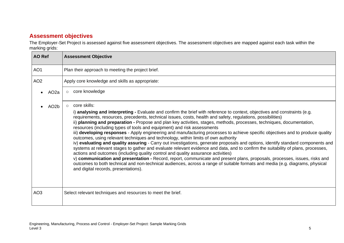# **Assessment objectives**

The Employer-Set Project is assessed against five assessment objectives. The assessment objectives are mapped against each task within the marking grids:

<span id="page-4-0"></span>

| ັັ<br><b>AO Ref</b> |                   | <b>Assessment Objective</b>                                                                                                                                                                                                                                                                                                                                                                                                                                                                                                                                                                                                                                                                                                                                                                                                                                                                                                                                                                                                                                                                                                                                                                                                                                                                                                                                              |
|---------------------|-------------------|--------------------------------------------------------------------------------------------------------------------------------------------------------------------------------------------------------------------------------------------------------------------------------------------------------------------------------------------------------------------------------------------------------------------------------------------------------------------------------------------------------------------------------------------------------------------------------------------------------------------------------------------------------------------------------------------------------------------------------------------------------------------------------------------------------------------------------------------------------------------------------------------------------------------------------------------------------------------------------------------------------------------------------------------------------------------------------------------------------------------------------------------------------------------------------------------------------------------------------------------------------------------------------------------------------------------------------------------------------------------------|
| AO <sub>1</sub>     |                   | Plan their approach to meeting the project brief.                                                                                                                                                                                                                                                                                                                                                                                                                                                                                                                                                                                                                                                                                                                                                                                                                                                                                                                                                                                                                                                                                                                                                                                                                                                                                                                        |
| AO <sub>2</sub>     |                   | Apply core knowledge and skills as appropriate:                                                                                                                                                                                                                                                                                                                                                                                                                                                                                                                                                                                                                                                                                                                                                                                                                                                                                                                                                                                                                                                                                                                                                                                                                                                                                                                          |
|                     | AO <sub>2</sub> a | core knowledge                                                                                                                                                                                                                                                                                                                                                                                                                                                                                                                                                                                                                                                                                                                                                                                                                                                                                                                                                                                                                                                                                                                                                                                                                                                                                                                                                           |
|                     | AO <sub>2</sub> b | core skills:<br>$\circ$<br>i) analysing and interpreting - Evaluate and confirm the brief with reference to context, objectives and constraints (e.g.<br>requirements, resources, precedents, technical issues, costs, health and safety, regulations, possibilities)<br>ii) planning and preparation - Propose and plan key activities, stages, methods, processes, techniques, documentation,<br>resources (including types of tools and equipment) and risk assessments<br>iii) developing responses - Apply engineering and manufacturing processes to achieve specific objectives and to produce quality<br>outcomes, using relevant techniques and technology, within limits of own authority<br>iv) evaluating and quality assuring - Carry out investigations, generate proposals and options, identify standard components and<br>systems at relevant stages to gather and evaluate relevant evidence and data, and to confirm the suitability of plans, processes,<br>actions and outcomes (including quality control and quality assurance activities)<br>v) communication and presentation - Record, report, communicate and present plans, proposals, processes, issues, risks and<br>outcomes to both technical and non-technical audiences, across a range of suitable formats and media (e.g. diagrams, physical<br>and digital records, presentations). |
| AO <sub>3</sub>     |                   | Select relevant techniques and resources to meet the brief.                                                                                                                                                                                                                                                                                                                                                                                                                                                                                                                                                                                                                                                                                                                                                                                                                                                                                                                                                                                                                                                                                                                                                                                                                                                                                                              |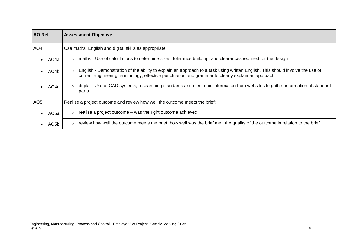| <b>AO</b> Ref   |                   | <b>Assessment Objective</b>                                                                                                                                                                                                                   |  |  |  |  |  |  |  |  |
|-----------------|-------------------|-----------------------------------------------------------------------------------------------------------------------------------------------------------------------------------------------------------------------------------------------|--|--|--|--|--|--|--|--|
| AO <sub>4</sub> |                   | Use maths, English and digital skills as appropriate:                                                                                                                                                                                         |  |  |  |  |  |  |  |  |
|                 | AO4a              | maths - Use of calculations to determine sizes, tolerance build up, and clearances required for the design                                                                                                                                    |  |  |  |  |  |  |  |  |
|                 | AO4b              | English - Demonstration of the ability to explain an approach to a task using written English. This should involve the use of<br>$\circ$<br>correct engineering terminology, effective punctuation and grammar to clearly explain an approach |  |  |  |  |  |  |  |  |
|                 | AO <sub>4</sub> c | digital - Use of CAD systems, researching standards and electronic information from websites to gather information of standard<br>parts.                                                                                                      |  |  |  |  |  |  |  |  |
| AO <sub>5</sub> |                   | Realise a project outcome and review how well the outcome meets the brief:                                                                                                                                                                    |  |  |  |  |  |  |  |  |
|                 | AO <sub>5</sub> a | realise a project outcome – was the right outcome achieved<br>$\circ$                                                                                                                                                                         |  |  |  |  |  |  |  |  |
|                 | AO <sub>5</sub> b | review how well the outcome meets the brief, how well was the brief met, the quality of the outcome in relation to the brief.<br>$\circ$                                                                                                      |  |  |  |  |  |  |  |  |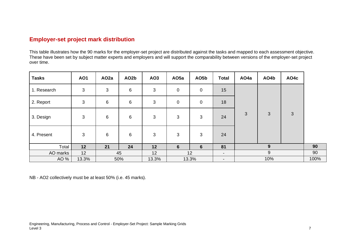### **Employer-set project mark distribution**

This table illustrates how the 90 marks for the employer-set project are distributed against the tasks and mapped to each assessment objective. These have been set by subject matter experts and employers and will support the comparability between versions of the employer-set project over time.

| <b>Tasks</b> | <b>AO1</b> | AO <sub>2</sub> a | AO <sub>2</sub> b | AO3            | AO <sub>5a</sub> | AO5b        | <b>Total</b>             | AO <sub>4</sub> a | AO4b         | AO4c |      |
|--------------|------------|-------------------|-------------------|----------------|------------------|-------------|--------------------------|-------------------|--------------|------|------|
| 1. Research  | 3          | $\sqrt{3}$        | $6\phantom{1}$    | $\mathfrak{S}$ | $\mathbf 0$      | $\mathbf 0$ | 15                       |                   |              |      |      |
| 2. Report    | 3          | 6                 | $\,6$             | 3              | $\mathbf 0$      | $\mathbf 0$ | 18                       |                   |              |      |      |
| 3. Design    | 3          | 6                 | 6                 | 3              | 3                | 3           | 24                       | 3                 | $\mathbf{3}$ | 3    |      |
| 4. Present   | 3          | 6                 | 6                 | 3              | 3                | 3           | 24                       |                   |              |      |      |
| Total        | 12         | 21                | 24                | 12             | $6\phantom{1}6$  | 6           | 81                       |                   | 9            |      | 90   |
| AO marks     | 12         |                   | 45                | 12             |                  | 12          | $\blacksquare$           |                   | 9            |      | 90   |
| AO %         | 13.3%      |                   | 50%               | 13.3%          |                  | 13.3%       | $\overline{\phantom{a}}$ |                   | 10%          |      | 100% |

<span id="page-6-0"></span>NB - AO2 collectively must be at least 50% (i.e. 45 marks).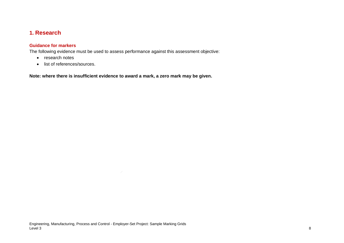### **1. Research**

#### **Guidance for markers**

The following evidence must be used to assess performance against this assessment objective:

- research notes
- <span id="page-7-0"></span>• list of references/sources.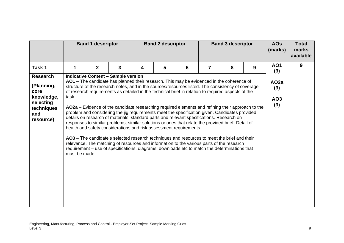|                                                                                                    |                        | <b>Band 1 descriptor</b>                   |   | <b>Band 2 descriptor</b><br><b>Band 3 descriptor</b> |   |                                                                                                                                                                                                                                                                                                                                                                                                                                                                                                                                                                                                                                                                                                                                                                                                                                                                                                                                                                                                                                                                                    |                | <b>AOs</b><br>(marks) | <b>Total</b><br>marks<br>available |                                                          |   |
|----------------------------------------------------------------------------------------------------|------------------------|--------------------------------------------|---|------------------------------------------------------|---|------------------------------------------------------------------------------------------------------------------------------------------------------------------------------------------------------------------------------------------------------------------------------------------------------------------------------------------------------------------------------------------------------------------------------------------------------------------------------------------------------------------------------------------------------------------------------------------------------------------------------------------------------------------------------------------------------------------------------------------------------------------------------------------------------------------------------------------------------------------------------------------------------------------------------------------------------------------------------------------------------------------------------------------------------------------------------------|----------------|-----------------------|------------------------------------|----------------------------------------------------------|---|
| Task 1                                                                                             |                        | $\mathbf{2}$                               | 3 | 4                                                    | 5 | 6                                                                                                                                                                                                                                                                                                                                                                                                                                                                                                                                                                                                                                                                                                                                                                                                                                                                                                                                                                                                                                                                                  | $\overline{7}$ | 8                     | 9                                  | <b>AO1</b>                                               | 9 |
| <b>Research</b><br>(Planning,<br>core<br>knowledge,<br>selecting<br>techniques<br>and<br>resource) | task.<br>must be made. | <b>Indicative Content - Sample version</b> |   |                                                      |   | AO1 - The candidate has planned their research. This may be evidenced in the coherence of<br>structure of the research notes, and in the sources/resources listed. The consistency of coverage<br>of research requirements as detailed in the technical brief in relation to required aspects of the<br>AO2a - Evidence of the candidate researching required elements and refining their approach to the<br>problem and considering the jig requirements meet the specification given. Candidates provided<br>details on research of materials, standard parts and relevant specifications. Research on<br>responses to similar problems, similar solutions or ones that relate the provided brief. Detail of<br>health and safety considerations and risk assessment requirements.<br>AO3 - The candidate's selected research techniques and resources to meet the brief and their<br>relevance. The matching of resources and information to the various parts of the research<br>requirement – use of specifications, diagrams, downloads etc to match the determinations that |                |                       |                                    | (3)<br>AO <sub>2a</sub><br>(3)<br>AO <sub>3</sub><br>(3) |   |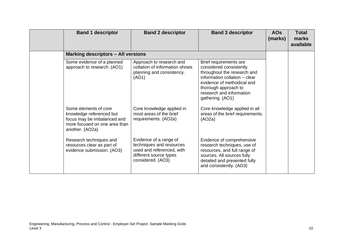| <b>Band 1 descriptor</b>                                                                                                             | <b>Band 2 descriptor</b>                                                                                                       | <b>Band 3 descriptor</b>                                                                                                                                                                                                | <b>AOs</b><br>(marks) | <b>Total</b><br>marks<br>available |
|--------------------------------------------------------------------------------------------------------------------------------------|--------------------------------------------------------------------------------------------------------------------------------|-------------------------------------------------------------------------------------------------------------------------------------------------------------------------------------------------------------------------|-----------------------|------------------------------------|
| <b>Marking descriptors - All versions</b>                                                                                            |                                                                                                                                |                                                                                                                                                                                                                         |                       |                                    |
| Some evidence of a planned<br>approach to research. (AO1)                                                                            | Approach to research and<br>collation of information shows<br>planning and consistency.<br>(AO1)                               | Brief requirements are<br>considered consistently<br>throughout the research and<br>information collation - clear<br>evidence of methodical and<br>thorough approach to<br>research and information<br>gathering. (AO1) |                       |                                    |
| Some elements of core<br>knowledge referenced but<br>focus may be imbalanced and<br>more focused on one area than<br>another. (AO2a) | Core knowledge applied in<br>most areas of the brief<br>requirements. (AO2a)                                                   | Core knowledge applied in all<br>areas of the brief requirements.<br>(AO2a)                                                                                                                                             |                       |                                    |
| Research techniques and<br>resources clear as part of<br>evidence submission. (AO3)                                                  | Evidence of a range of<br>techniques and resources<br>used and referenced, with<br>different source types<br>considered. (AO3) | Evidence of comprehensive<br>research techniques, use of<br>resources, and full range of<br>sources. All sources fully<br>detailed and presented fully<br>and consistently. (AO3)                                       |                       |                                    |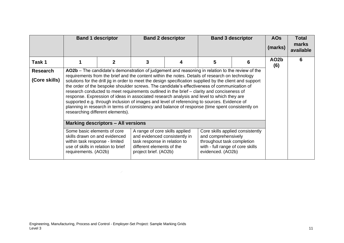|                                  | <b>Band 2 descriptor</b><br><b>Band 3 descriptor</b><br><b>Band 1 descriptor</b>                                                                                                                                                                                                                                                                                                                                                                                                                                                                                                                                                                                                                                                                                                                                                                 |                                           |   |  |   |   | <b>AOs</b><br>(marks)    | <b>Total</b><br>marks<br>available |
|----------------------------------|--------------------------------------------------------------------------------------------------------------------------------------------------------------------------------------------------------------------------------------------------------------------------------------------------------------------------------------------------------------------------------------------------------------------------------------------------------------------------------------------------------------------------------------------------------------------------------------------------------------------------------------------------------------------------------------------------------------------------------------------------------------------------------------------------------------------------------------------------|-------------------------------------------|---|--|---|---|--------------------------|------------------------------------|
| Task 1                           |                                                                                                                                                                                                                                                                                                                                                                                                                                                                                                                                                                                                                                                                                                                                                                                                                                                  | $\mathbf{2}$                              | 3 |  | 5 | 6 | AO <sub>2</sub> b<br>(6) | 6                                  |
| <b>Research</b><br>(Core skills) | AO2b – The candidate's demonstration of judgement and reasoning in relation to the review of the<br>requirements from the brief and the content within the notes. Details of research on technology<br>solutions for the drill jig in order to meet the design specification supplied by the client and support<br>the order of the bespoke shoulder screws. The candidate's effectiveness of communication of<br>research conducted to meet requirements outlined in the brief - clarity and conciseness of<br>response. Expression of ideas in associated research analysis and level to which they are<br>supported e.g. through inclusion of images and level of referencing to sources. Evidence of<br>planning in research in terms of consistency and balance of response (time spent consistently on<br>researching different elements). |                                           |   |  |   |   |                          |                                    |
|                                  |                                                                                                                                                                                                                                                                                                                                                                                                                                                                                                                                                                                                                                                                                                                                                                                                                                                  | <b>Marking descriptors - All versions</b> |   |  |   |   |                          |                                    |
|                                  | A range of core skills applied<br>Core skills applied consistently<br>Some basic elements of core<br>and comprehensively<br>and evidenced consistently in<br>skills drawn on and evidenced<br>task response in relation to<br>throughout task completion<br>within task response - limited<br>with - full range of core skills<br>use of skills in relation to brief<br>different elements of the<br>evidenced. (AO2b)<br>requirements. (AO2b)<br>project brief. (AO2b)                                                                                                                                                                                                                                                                                                                                                                          |                                           |   |  |   |   |                          |                                    |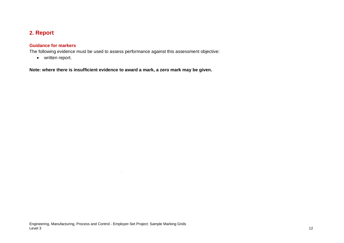# **2. Report**

#### **Guidance for markers**

The following evidence must be used to assess performance against this assessment objective:

<span id="page-11-0"></span>• written report.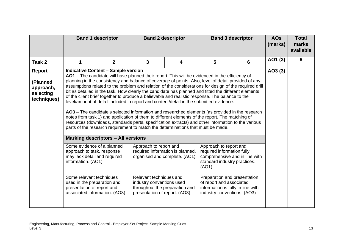|                                                             |                                                                                                                                                                                                                                          | <b>Band 1 descriptor</b>                                                                | <b>Band 2 descriptor</b><br><b>Band 3 descriptor</b>                                                                                                                                                                                                                                                                                                                                                                                                                                                                                                                                                                                                                                                                                                                                                                                                                                                                                                                                                                                                                                                                                                                                                           |                                  |                                                                                                                                                                                                                                                                 |   | <b>AOs</b><br>(marks) | <b>Total</b><br>marks<br>available |
|-------------------------------------------------------------|------------------------------------------------------------------------------------------------------------------------------------------------------------------------------------------------------------------------------------------|-----------------------------------------------------------------------------------------|----------------------------------------------------------------------------------------------------------------------------------------------------------------------------------------------------------------------------------------------------------------------------------------------------------------------------------------------------------------------------------------------------------------------------------------------------------------------------------------------------------------------------------------------------------------------------------------------------------------------------------------------------------------------------------------------------------------------------------------------------------------------------------------------------------------------------------------------------------------------------------------------------------------------------------------------------------------------------------------------------------------------------------------------------------------------------------------------------------------------------------------------------------------------------------------------------------------|----------------------------------|-----------------------------------------------------------------------------------------------------------------------------------------------------------------------------------------------------------------------------------------------------------------|---|-----------------------|------------------------------------|
| Task 2                                                      |                                                                                                                                                                                                                                          | $\mathbf{2}$                                                                            | 3                                                                                                                                                                                                                                                                                                                                                                                                                                                                                                                                                                                                                                                                                                                                                                                                                                                                                                                                                                                                                                                                                                                                                                                                              | 4                                | 5                                                                                                                                                                                                                                                               | 6 | AO1 (3)               | 6                                  |
| Report<br>(Planned<br>approach,<br>selecting<br>techniques) | Some evidence of a planned<br>approach to task, response<br>may lack detail and required<br>information. (AO1)<br>Some relevant techniques<br>used in the preparation and<br>presentation of report and<br>associated information. (AO3) | <b>Indicative Content - Sample version</b><br><b>Marking descriptors - All versions</b> | AO1 - The candidate will have planned their report. This will be evidenced in the efficiency of<br>planning in the consistency and balance of coverage of points. Also, level of detail provided of any<br>assumptions related to the problem and relation of the considerations for design of the required drill<br>bit as detailed in the task. How clearly the candidate has planned and fitted the different elements<br>of the client brief together to produce a believable and realistic response. The balance to the<br>level/amount of detail included in report and content/detail in the submitted evidence.<br>AO3 – The candidate's selected information and researched elements (as provided in the research<br>notes from task 1) and application of them to different elements of the report. The matching of<br>resources (downloads, standards parts, specification extracts) and other information to the various<br>parts of the research requirement to match the determinations that must be made.<br>Approach to report and<br>organised and complete. (AO1)<br>Relevant techniques and<br>industry conventions used<br>throughout the preparation and<br>presentation of report. (AO3) | required information is planned, | Approach to report and<br>required information fully<br>comprehensive and in line with<br>standard industry practices.<br>(AO1)<br>Preparation and presentation<br>of report and associated<br>information is fully in line with<br>industry conventions. (AO3) |   | AO3(3)                |                                    |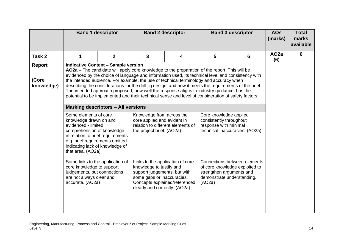|                                      | <b>Band 1 descriptor</b>                                                                                                                                                                                                                                                                                                                                                             |                                                                                         | <b>Band 2 descriptor</b><br><b>Band 3 descriptor</b>                                                                                                                                                                                                                                                                       |   |                                                                                                                                                                                                                                                                                                                                                                                                                                                                                                                                                                                                                                                                                                                                                                                                                                     |                              | <b>AOs</b><br>(marks) | <b>Total</b><br>marks<br>available |
|--------------------------------------|--------------------------------------------------------------------------------------------------------------------------------------------------------------------------------------------------------------------------------------------------------------------------------------------------------------------------------------------------------------------------------------|-----------------------------------------------------------------------------------------|----------------------------------------------------------------------------------------------------------------------------------------------------------------------------------------------------------------------------------------------------------------------------------------------------------------------------|---|-------------------------------------------------------------------------------------------------------------------------------------------------------------------------------------------------------------------------------------------------------------------------------------------------------------------------------------------------------------------------------------------------------------------------------------------------------------------------------------------------------------------------------------------------------------------------------------------------------------------------------------------------------------------------------------------------------------------------------------------------------------------------------------------------------------------------------------|------------------------------|-----------------------|------------------------------------|
| Task 2                               |                                                                                                                                                                                                                                                                                                                                                                                      | $\overline{2}$                                                                          | $\overline{3}$                                                                                                                                                                                                                                                                                                             | 4 | 5                                                                                                                                                                                                                                                                                                                                                                                                                                                                                                                                                                                                                                                                                                                                                                                                                                   | 6                            | AO <sub>2</sub> a     | 6                                  |
| <b>Report</b><br>(Core<br>knowledge) | Some elements of core<br>knowledge drawn on and<br>evidenced - limited<br>comprehension of knowledge<br>in relation to brief requirements<br>e.g. brief requirements omitted<br>indicating lack of knowledge of<br>that area. (AO2a)<br>Some links to the application of<br>core knowledge to support<br>judgements, but connections<br>are not always clear and<br>accurate. (AO2a) | <b>Indicative Content - Sample version</b><br><b>Marking descriptors - All versions</b> | Knowledge from across the<br>core applied and evident in<br>relation to different elements of<br>the project brief. (AO2a)<br>Links to the application of core<br>knowledge to justify and<br>support judgements, but with<br>some gaps or inaccuracies.<br>Concepts explained/referenced<br>clearly and correctly. (AO2a) |   | AO2a - The candidate will apply core knowledge to the preparation of the report. This will be<br>evidenced by the choice of language and information used, its technical level and consistency with<br>the intended audience. For example, the use of technical terminology and accuracy when<br>describing the considerations for the drill jig design, and how it meets the requirements of the brief.<br>The intended approach proposed, how well the response aligns to industry guidance, has the<br>potential to be implemented and their technical sense and level of consideration of safety factors.<br>Core knowledge applied<br>consistently throughout<br>response with minimal<br>technical inaccuracies. (AO2a)<br>of core knowledge exploited to<br>strengthen arguments and<br>demonstrate understanding.<br>(AO2a) | Connections between elements | (6)                   |                                    |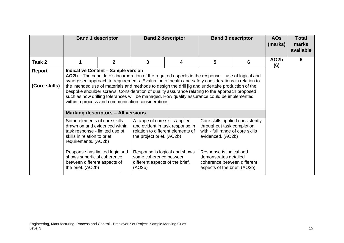|                         |                                                                                                                                                                                                                                                                                                                                                                                                                                                                                                                                                                                                                   | <b>Band 1 descriptor</b>                  | <b>Band 2 descriptor</b><br><b>Band 3 descriptor</b>        |                                                                      |                                                                                                                         |   |                          | <b>Total</b><br>marks<br>available |
|-------------------------|-------------------------------------------------------------------------------------------------------------------------------------------------------------------------------------------------------------------------------------------------------------------------------------------------------------------------------------------------------------------------------------------------------------------------------------------------------------------------------------------------------------------------------------------------------------------------------------------------------------------|-------------------------------------------|-------------------------------------------------------------|----------------------------------------------------------------------|-------------------------------------------------------------------------------------------------------------------------|---|--------------------------|------------------------------------|
| Task 2                  |                                                                                                                                                                                                                                                                                                                                                                                                                                                                                                                                                                                                                   | $\mathbf{2}$                              | 3                                                           | 4                                                                    | 5                                                                                                                       | 6 | AO <sub>2</sub> b<br>(6) | 6                                  |
| Report<br>(Core skills) | <b>Indicative Content - Sample version</b><br>AO2b – The candidate's incorporation of the required aspects in the response – use of logical and<br>synergised approach to requirements. Evaluation of health and safety considerations in relation to<br>the intended use of materials and methods to design the drill jig and undertake production of the<br>bespoke shoulder screws. Consideration of quality assurance relating to the approach proposed,<br>such as how drilling tolerances will be managed. How quality assurance could be implemented<br>within a process and communication considerations. |                                           |                                                             |                                                                      |                                                                                                                         |   |                          |                                    |
|                         |                                                                                                                                                                                                                                                                                                                                                                                                                                                                                                                                                                                                                   | <b>Marking descriptors - All versions</b> |                                                             |                                                                      |                                                                                                                         |   |                          |                                    |
|                         | Some elements of core skills<br>drawn on and evidenced within<br>task response - limited use of<br>skills in relation to brief<br>requirements. (AO2b)                                                                                                                                                                                                                                                                                                                                                                                                                                                            |                                           | A range of core skills applied<br>the project brief. (AO2b) | and evident in task response in<br>relation to different elements of | Core skills applied consistently<br>throughout task completion<br>with - full range of core skills<br>evidenced. (AO2b) |   |                          |                                    |
|                         | Response is logical and shows<br>Response is logical and<br>Response has limited logic and<br>some coherence between<br>demonstrates detailed<br>shows superficial coherence<br>between different aspects of<br>coherence between different<br>different aspects of the brief.<br>the brief. (AO2b)<br>(AO2b)<br>aspects of the brief. (AO2b)                                                                                                                                                                                                                                                                     |                                           |                                                             |                                                                      |                                                                                                                         |   |                          |                                    |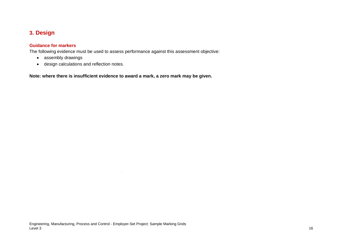## **3. Design**

#### **Guidance for markers**

The following evidence must be used to assess performance against this assessment objective:

- assembly drawings
- <span id="page-15-0"></span>• design calculations and reflection notes.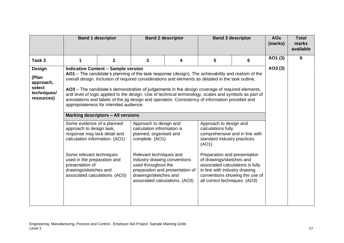|                                                                            | <b>Band 1 descriptor</b>                                                                                                                                                                                                                                                                                                                                                                                                                                                                                                                           |                                                                                                                                                                                                                                                                                                                    | <b>Band 2 descriptor</b><br><b>Band 3 descriptor</b> |   |                 | <b>AOs</b><br>(marks) | <b>Total</b><br>marks<br>available |   |
|----------------------------------------------------------------------------|----------------------------------------------------------------------------------------------------------------------------------------------------------------------------------------------------------------------------------------------------------------------------------------------------------------------------------------------------------------------------------------------------------------------------------------------------------------------------------------------------------------------------------------------------|--------------------------------------------------------------------------------------------------------------------------------------------------------------------------------------------------------------------------------------------------------------------------------------------------------------------|------------------------------------------------------|---|-----------------|-----------------------|------------------------------------|---|
| Task 3                                                                     | 1                                                                                                                                                                                                                                                                                                                                                                                                                                                                                                                                                  | $\overline{2}$                                                                                                                                                                                                                                                                                                     | 3                                                    | 4 | $5\phantom{.0}$ | 6                     | AO1 (3)                            | 6 |
| <b>Design</b><br>(Plan<br>approach,<br>select<br>techniques/<br>resources) | <b>Indicative Content - Sample version</b><br>AO1 - The candidate's planning of the task response (design). The achievability and realism of the<br>overall design. Inclusion of required considerations and elements as detailed in the task outline.<br>AO3 – The candidate's demonstration of judgements in the design coverage of required elements,<br>annotations and labels of the jig design and operation. Consistency of information provided and<br>appropriateness for intended audience.<br><b>Marking descriptors - All versions</b> | and level of logic applied to the design. Use of technical terminology, scales and symbols as part of                                                                                                                                                                                                              | AO3(3)                                               |   |                 |                       |                                    |   |
|                                                                            | Some evidence of a planned<br>approach to design task,<br>response may lack detail and<br>calculation information. (AO1)<br>Some relevant techniques<br>used in the preparation and<br>presentation of<br>drawings/sketches and<br>associated calculations. (AO3)                                                                                                                                                                                                                                                                                  | Approach to design and<br>calculations fully<br>comprehensive and in line with<br>standard industry practices.<br>Preparation and presentation<br>of drawings/sketches and<br>associated calculations is fully<br>in line with industry drawing<br>conventions showing the use of<br>all correct techniques. (AO3) |                                                      |   |                 |                       |                                    |   |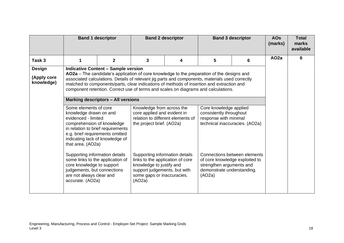|                           |                                                                                                                                                                                                                                                                                                                                                                                  | <b>Band 1 descriptor</b>                   | <b>Band 2 descriptor</b>                                                                                                                                               |   |                                                                                                              | <b>Band 3 descriptor</b>     | <b>AOs</b><br>(marks) | <b>Total</b><br>marks<br>available |
|---------------------------|----------------------------------------------------------------------------------------------------------------------------------------------------------------------------------------------------------------------------------------------------------------------------------------------------------------------------------------------------------------------------------|--------------------------------------------|------------------------------------------------------------------------------------------------------------------------------------------------------------------------|---|--------------------------------------------------------------------------------------------------------------|------------------------------|-----------------------|------------------------------------|
| Task <sub>3</sub>         | 1                                                                                                                                                                                                                                                                                                                                                                                | $\overline{2}$                             | 3                                                                                                                                                                      | 4 | 5                                                                                                            | 6                            | AO <sub>2a</sub>      | 6                                  |
| <b>Design</b>             |                                                                                                                                                                                                                                                                                                                                                                                  | <b>Indicative Content - Sample version</b> |                                                                                                                                                                        |   |                                                                                                              |                              |                       |                                    |
| (Apply core<br>knowledge) | AO2a – The candidate's application of core knowledge to the preparation of the designs and<br>associated calculations. Details of relevant jig parts and components, materials used correctly<br>matched to components/parts, clear indications of methods of insertion and extraction and<br>component retention. Correct use of terms and scales on diagrams and calculations. |                                            |                                                                                                                                                                        |   |                                                                                                              |                              |                       |                                    |
|                           | <b>Marking descriptors - All versions</b>                                                                                                                                                                                                                                                                                                                                        |                                            |                                                                                                                                                                        |   |                                                                                                              |                              |                       |                                    |
|                           | Some elements of core<br>knowledge drawn on and<br>evidenced - limited<br>comprehension of knowledge<br>in relation to brief requirements<br>e.g. brief requirements omitted<br>indicating lack of knowledge of<br>that area. (AO2a)                                                                                                                                             |                                            | Knowledge from across the<br>core applied and evident in<br>relation to different elements of<br>the project brief. (AO2a)                                             |   | Core knowledge applied<br>consistently throughout<br>response with minimal<br>technical inaccuracies. (AO2a) |                              |                       |                                    |
|                           | Supporting information details<br>some links to the application of<br>core knowledge to support<br>judgements, but connections<br>are not always clear and<br>accurate. (AO2a)                                                                                                                                                                                                   |                                            | Supporting information details<br>links to the application of core<br>knowledge to justify and<br>support judgements, but with<br>some gaps or inaccuracies.<br>(AO2a) |   | of core knowledge exploited to<br>strengthen arguments and<br>demonstrate understanding.<br>(AO2a)           | Connections between elements |                       |                                    |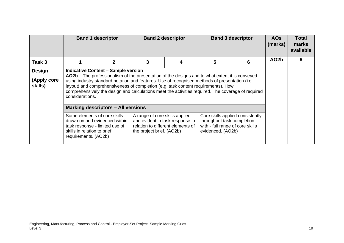|                                         |                                                                                                                                                                                                                                                                                                                                                                                                                                                                       | <b>Band 1 descriptor</b>                   | <b>Band 2 descriptor</b><br><b>Band 3 descriptor</b>                                                                                                                                                                                                                                                                                                                                         |  |   | <b>AOs</b><br>(marks) | <b>Total</b><br>marks<br>available |   |
|-----------------------------------------|-----------------------------------------------------------------------------------------------------------------------------------------------------------------------------------------------------------------------------------------------------------------------------------------------------------------------------------------------------------------------------------------------------------------------------------------------------------------------|--------------------------------------------|----------------------------------------------------------------------------------------------------------------------------------------------------------------------------------------------------------------------------------------------------------------------------------------------------------------------------------------------------------------------------------------------|--|---|-----------------------|------------------------------------|---|
| Task 3                                  |                                                                                                                                                                                                                                                                                                                                                                                                                                                                       | 2                                          | 3                                                                                                                                                                                                                                                                                                                                                                                            |  | 5 | 6                     | AO <sub>2</sub> b                  | 6 |
| <b>Design</b><br>(Apply core<br>skills) | considerations.                                                                                                                                                                                                                                                                                                                                                                                                                                                       | <b>Indicative Content - Sample version</b> | AO2b - The professionalism of the presentation of the designs and to what extent it is conveyed<br>using industry standard notation and features. Use of recognised methods of presentation (i.e.<br>layout) and comprehensiveness of completion (e.g. task content requirements). How<br>comprehensively the design and calculations meet the activities required. The coverage of required |  |   |                       |                                    |   |
|                                         | <b>Marking descriptors - All versions</b><br>Some elements of core skills<br>A range of core skills applied<br>Core skills applied consistently<br>drawn on and evidenced within<br>and evident in task response in<br>throughout task completion<br>with - full range of core skills<br>relation to different elements of<br>task response - limited use of<br>skills in relation to brief<br>evidenced. (AO2b)<br>the project brief. (AO2b)<br>requirements. (AO2b) |                                            |                                                                                                                                                                                                                                                                                                                                                                                              |  |   |                       |                                    |   |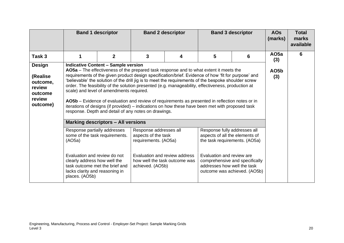|                                                                                   |                                                                                                                    | <b>Band 1 descriptor</b>                                                                                                            | <b>Band 2 descriptor</b><br><b>Band 3 descriptor</b>                                                                                                           |   | <b>AOs</b><br>(marks)                                                                                                                                                                                                                                                                                                                                                                                                                                                                                                                                                                                                                                                                                                                            | <b>Total</b><br>marks<br>available                             |                          |   |
|-----------------------------------------------------------------------------------|--------------------------------------------------------------------------------------------------------------------|-------------------------------------------------------------------------------------------------------------------------------------|----------------------------------------------------------------------------------------------------------------------------------------------------------------|---|--------------------------------------------------------------------------------------------------------------------------------------------------------------------------------------------------------------------------------------------------------------------------------------------------------------------------------------------------------------------------------------------------------------------------------------------------------------------------------------------------------------------------------------------------------------------------------------------------------------------------------------------------------------------------------------------------------------------------------------------------|----------------------------------------------------------------|--------------------------|---|
| Task 3                                                                            |                                                                                                                    | $\mathbf{2}$                                                                                                                        | 3                                                                                                                                                              | 4 | 5                                                                                                                                                                                                                                                                                                                                                                                                                                                                                                                                                                                                                                                                                                                                                | 6                                                              | AO <sub>5a</sub><br>(3)  | 6 |
| <b>Design</b><br>(Realise)<br>outcome,<br>review<br>outcome<br>review<br>outcome) | Response partially addresses<br>some of the task requirements.<br>(AO5a)<br>Evaluation and review do not           | <b>Indicative Content - Sample version</b><br>scale) and level of amendments required.<br><b>Marking descriptors - All versions</b> | response. Depth and detail of any notes on drawings.<br>Response addresses all<br>aspects of the task<br>requirements. (AO5a)<br>Evaluation and review address |   | AO5a - The effectiveness of the prepared task response and to what extent it meets the<br>requirements of the given product design specification/brief. Evidence of how 'fit for purpose' and<br>believable' the solution of the drill jig is to meet the requirements of the bespoke shoulder screw<br>order. The feasibility of the solution presented (e.g. manageability, effectiveness, production at<br>AO5b – Evidence of evaluation and review of requirements as presented in reflection notes or in<br>iterations of designs (if provided) - indications on how these have been met with proposed task<br>Response fully addresses all<br>aspects of all the elements of<br>the task requirements. (AO5a)<br>Evaluation and review are |                                                                | AO <sub>5</sub> b<br>(3) |   |
|                                                                                   | clearly address how well the<br>task outcome met the brief and<br>lacks clarity and reasoning in<br>places. (AO5b) |                                                                                                                                     | how well the task outcome was<br>achieved. (AO5b)                                                                                                              |   | addresses how well the task                                                                                                                                                                                                                                                                                                                                                                                                                                                                                                                                                                                                                                                                                                                      | comprehensive and specifically<br>outcome was achieved. (AO5b) |                          |   |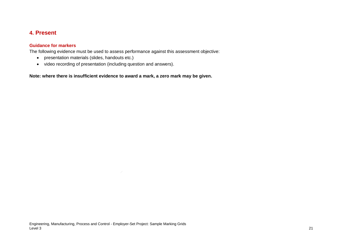### **4. Present**

#### **Guidance for markers**

The following evidence must be used to assess performance against this assessment objective:

- presentation materials (slides, handouts etc.)
- <span id="page-20-0"></span>• video recording of presentation (including question and answers).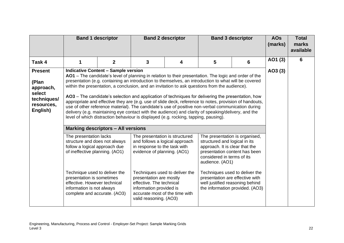|                                                                                         |                                                                                                                                                                                                                                                                                                                                                                                                                                                                                                                                                                                                                                                                                                                                                                                                                                                                                 | <b>Band 1 descriptor</b>                  |                                                                                                                                                                              | <b>Band 2 descriptor</b> |                                                                                                      | <b>Band 3 descriptor</b>        | <b>AOs</b><br>(marks) | <b>Total</b><br>marks<br>available |
|-----------------------------------------------------------------------------------------|---------------------------------------------------------------------------------------------------------------------------------------------------------------------------------------------------------------------------------------------------------------------------------------------------------------------------------------------------------------------------------------------------------------------------------------------------------------------------------------------------------------------------------------------------------------------------------------------------------------------------------------------------------------------------------------------------------------------------------------------------------------------------------------------------------------------------------------------------------------------------------|-------------------------------------------|------------------------------------------------------------------------------------------------------------------------------------------------------------------------------|--------------------------|------------------------------------------------------------------------------------------------------|---------------------------------|-----------------------|------------------------------------|
| Task 4                                                                                  | 1                                                                                                                                                                                                                                                                                                                                                                                                                                                                                                                                                                                                                                                                                                                                                                                                                                                                               | $\mathbf{2}$                              | 3                                                                                                                                                                            | 4                        | 5                                                                                                    | 6                               | AO1 (3)               | 6                                  |
| <b>Present</b><br>(Plan<br>approach,<br>select<br>techniques/<br>resources,<br>English) | <b>Indicative Content - Sample version</b><br>AO1 – The candidate's level of planning in relation to their presentation. The logic and order of the<br>presentation (e.g. containing an introduction to themselves, an introduction to what will be covered<br>within the presentation, a conclusion, and an invitation to ask questions from the audience).<br>AO3 – The candidate's selection and application of techniques for delivering the presentation, how<br>appropriate and effective they are (e.g. use of slide deck, reference to notes, provision of handouts,<br>use of other reference material). The candidate's use of positive non-verbal communication during<br>delivery (e.g. maintaining eye contact with the audience) and clarity of speaking/delivery, and the<br>level of which distraction behaviour is displayed (e.g. rocking, tapping, pausing). |                                           |                                                                                                                                                                              |                          |                                                                                                      |                                 | AO3 (3)               |                                    |
|                                                                                         |                                                                                                                                                                                                                                                                                                                                                                                                                                                                                                                                                                                                                                                                                                                                                                                                                                                                                 | <b>Marking descriptors - All versions</b> |                                                                                                                                                                              |                          |                                                                                                      |                                 |                       |                                    |
|                                                                                         | The presentation lacks<br>The presentation is organised,<br>The presentation is structured<br>structure and does not always<br>and follows a logical approach<br>structured and logical in its<br>approach. It is clear that the<br>follow a logical approach due<br>in response to the task with<br>of ineffective planning. (AO1)<br>presentation content has been<br>evidence of planning. (AO1)<br>considered in terms of its<br>audience. (AO1)                                                                                                                                                                                                                                                                                                                                                                                                                            |                                           |                                                                                                                                                                              |                          |                                                                                                      |                                 |                       |                                    |
|                                                                                         | Technique used to deliver the<br>presentation is sometimes<br>effective. However technical<br>information is not always<br>complete and accurate. (AO3)                                                                                                                                                                                                                                                                                                                                                                                                                                                                                                                                                                                                                                                                                                                         |                                           | Techniques used to deliver the<br>presentation are mostly<br>effective. The technical<br>information provided is<br>accurate most of the time with<br>valid reasoning. (AO3) |                          | Techniques used to deliver the<br>presentation are effective with<br>well justified reasoning behind | the information provided. (AO3) |                       |                                    |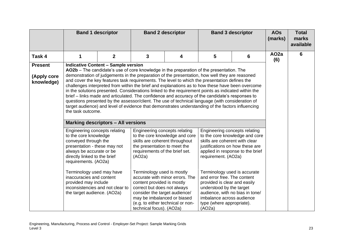|                                             | <b>Band 1 descriptor</b>                                                                                                                                                                                                                                                                                                                                                                                                                                                                                                                                                                                                                                                                                                                                                                                                                                                                                                           |              | <b>Band 2 descriptor</b>                                                                                                                                                                                                                                                                                                                                                                                                                     |   |                                                                                                                                                                                                                                                                                                                                                             | <b>Band 3 descriptor</b>                                           | <b>AOs</b><br>(marks)    | <b>Total</b><br>marks<br>available |
|---------------------------------------------|------------------------------------------------------------------------------------------------------------------------------------------------------------------------------------------------------------------------------------------------------------------------------------------------------------------------------------------------------------------------------------------------------------------------------------------------------------------------------------------------------------------------------------------------------------------------------------------------------------------------------------------------------------------------------------------------------------------------------------------------------------------------------------------------------------------------------------------------------------------------------------------------------------------------------------|--------------|----------------------------------------------------------------------------------------------------------------------------------------------------------------------------------------------------------------------------------------------------------------------------------------------------------------------------------------------------------------------------------------------------------------------------------------------|---|-------------------------------------------------------------------------------------------------------------------------------------------------------------------------------------------------------------------------------------------------------------------------------------------------------------------------------------------------------------|--------------------------------------------------------------------|--------------------------|------------------------------------|
| Task 4                                      |                                                                                                                                                                                                                                                                                                                                                                                                                                                                                                                                                                                                                                                                                                                                                                                                                                                                                                                                    | $\mathbf{2}$ | 3                                                                                                                                                                                                                                                                                                                                                                                                                                            | 4 | 5                                                                                                                                                                                                                                                                                                                                                           | 6                                                                  | AO <sub>2</sub> a<br>(6) | 6                                  |
| <b>Present</b><br>(Apply core<br>knowledge) | <b>Indicative Content - Sample version</b><br>AO2b - The candidate's use of core knowledge in the preparation of the presentation. The<br>demonstration of judgements in the preparation of the presentation, how well they are reasoned<br>and cover the key features task requirements. The level to which the presentation defines the<br>challenges interpreted from within the brief and explanations as to how these have been overcome<br>in the solutions presented. Considerations linked to the requirement points as indicated within the<br>brief - links made and articulated. The confidence and accuracy of the candidate's responses to<br>questions presented by the assessor/client. The use of technical language (with consideration of<br>target audience) and level of evidence that demonstrates understanding of the factors influencing<br>the task outcome.<br><b>Marking descriptors - All versions</b> |              |                                                                                                                                                                                                                                                                                                                                                                                                                                              |   |                                                                                                                                                                                                                                                                                                                                                             |                                                                    |                          |                                    |
|                                             | Engineering concepts relating<br>to the core knowledge<br>conveyed through the<br>presentation - these may not<br>always be accurate or be<br>directly linked to the brief<br>requirements. (AO2a)<br>Terminology used may have<br>inaccuracies and content<br>provided may include<br>inconsistencies and not clear to<br>the target audience. (AO2a)                                                                                                                                                                                                                                                                                                                                                                                                                                                                                                                                                                             |              | Engineering concepts relating<br>to the core knowledge and core<br>skills are coherent throughout<br>the presentation to meet the<br>requirements of the brief set.<br>(AO2a)<br>Terminology used is mostly<br>accurate with minor errors. The<br>content provided is mostly<br>correct but does not always<br>consider the target audience/<br>may be imbalanced or biased<br>(e.g. to either technical or non-<br>technical focus). (AO2a) |   | Engineering concepts relating<br>skills are coherent with clear<br>justifications on how these are<br>requirement. (AO2a)<br>Terminology used is accurate<br>and error free. The content<br>provided is clear and easily<br>understood by the target<br>audience, with no bias in tone/<br>imbalance across audience<br>type (where appropriate).<br>(AO2a) | to the core knowledge and core<br>applied in response to the brief |                          |                                    |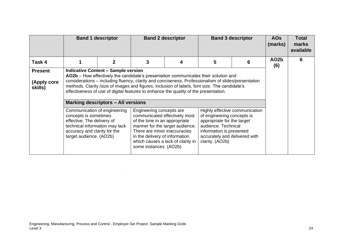|                                          |                                                                                                                                                                                  | <b>Band 1 descriptor</b>                                                                |                                                                                                                                                                                                                                                                                                                                                                                                                                                                                                                                              | <b>Band 2 descriptor</b>                                                                              |                                                                                                                                                                 | <b>Band 3 descriptor</b>       | <b>AOs</b><br>(marks)    | <b>Total</b><br>marks<br>available |
|------------------------------------------|----------------------------------------------------------------------------------------------------------------------------------------------------------------------------------|-----------------------------------------------------------------------------------------|----------------------------------------------------------------------------------------------------------------------------------------------------------------------------------------------------------------------------------------------------------------------------------------------------------------------------------------------------------------------------------------------------------------------------------------------------------------------------------------------------------------------------------------------|-------------------------------------------------------------------------------------------------------|-----------------------------------------------------------------------------------------------------------------------------------------------------------------|--------------------------------|--------------------------|------------------------------------|
| Task 4                                   |                                                                                                                                                                                  | 2                                                                                       | 3                                                                                                                                                                                                                                                                                                                                                                                                                                                                                                                                            |                                                                                                       | 5                                                                                                                                                               | 6                              | AO <sub>2</sub> b<br>(6) | 6                                  |
| <b>Present</b><br>(Apply core<br>skills) | Communication of engineering<br>concepts is sometimes<br>effective. The delivery of<br>technical information may lack<br>accuracy and clarity for the<br>target audience. (AO2b) | <b>Indicative Content - Sample version</b><br><b>Marking descriptors - All versions</b> | AO2b – How effectively the candidate's presentation communicates their solution and<br>considerations - including fluency, clarity and conciseness. Professionalism of slides/presentation<br>methods. Clarity /size of images and figures, inclusion of labels, font size. The candidate's<br>effectiveness of use of digital features to enhance the quality of the presentation.<br>Engineering concepts are<br>of the time in an appropriate<br>There are minor inaccuracies<br>in the delivery of information<br>some instances. (AO2b) | communicated effectively most<br>manner for the target audience.<br>which causes a lack of clarity in | of engineering concepts is<br>appropriate for the target<br>audience. Technical<br>information is presented<br>accurately and delivered with<br>clarity. (AO2b) | Highly effective communication |                          |                                    |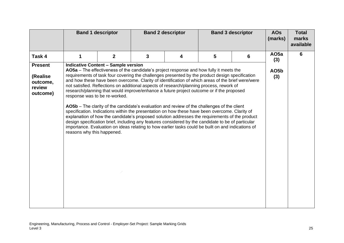|                                                               | <b>Band 1 descriptor</b>                                    |                                            |                                                                                                                                                                                                                                                                                                                                                                                                                                                                                                                                                                                                                                                                                                                                                                                                                                                                                                                                                                                                        | <b>Band 2 descriptor</b> |   | <b>Band 3 descriptor</b> | <b>AOs</b><br>(marks)    | <b>Total</b><br>marks<br>available |
|---------------------------------------------------------------|-------------------------------------------------------------|--------------------------------------------|--------------------------------------------------------------------------------------------------------------------------------------------------------------------------------------------------------------------------------------------------------------------------------------------------------------------------------------------------------------------------------------------------------------------------------------------------------------------------------------------------------------------------------------------------------------------------------------------------------------------------------------------------------------------------------------------------------------------------------------------------------------------------------------------------------------------------------------------------------------------------------------------------------------------------------------------------------------------------------------------------------|--------------------------|---|--------------------------|--------------------------|------------------------------------|
| Task 4                                                        | 1                                                           | $\mathbf{2}$                               | 3                                                                                                                                                                                                                                                                                                                                                                                                                                                                                                                                                                                                                                                                                                                                                                                                                                                                                                                                                                                                      | 4                        | 5 | 6                        | AO <sub>5a</sub><br>(3)  | 6                                  |
| <b>Present</b><br>(Realise)<br>outcome,<br>review<br>outcome) | response was to be re-worked.<br>reasons why this happened. | <b>Indicative Content - Sample version</b> | AO5a - The effectiveness of the candidate's project response and how fully it meets the<br>requirements of task four covering the challenges presented by the product design specification<br>and how these have been overcome. Clarity of identification of which areas of the brief were/were<br>not satisfied. Reflections on additional aspects of research/planning process, rework of<br>research/planning that would improve/enhance a future project outcome or if the proposed<br>AO5b – The clarity of the candidate's evaluation and review of the challenges of the client<br>specification. Indications within the presentation on how these have been overcome. Clarity of<br>explanation of how the candidate's proposed solution addresses the requirements of the product<br>design specification brief, including any features considered by the candidate to be of particular<br>importance. Evaluation on ideas relating to how earlier tasks could be built on and indications of |                          |   |                          | AO <sub>5</sub> b<br>(3) |                                    |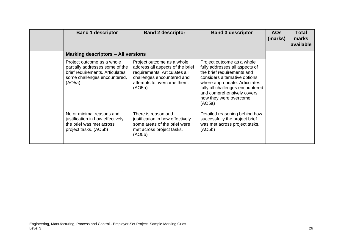| <b>Band 1 descriptor</b>                                                                                                                   | <b>Band 2 descriptor</b>                                                                                                                                              | <b>Band 3 descriptor</b>                                                                                                                                                                                                                                             | <b>AOs</b><br>(marks) | Total<br>marks<br>available |
|--------------------------------------------------------------------------------------------------------------------------------------------|-----------------------------------------------------------------------------------------------------------------------------------------------------------------------|----------------------------------------------------------------------------------------------------------------------------------------------------------------------------------------------------------------------------------------------------------------------|-----------------------|-----------------------------|
| <b>Marking descriptors - All versions</b>                                                                                                  |                                                                                                                                                                       |                                                                                                                                                                                                                                                                      |                       |                             |
| Project outcome as a whole<br>partially addresses some of the<br>brief requirements. Articulates<br>some challenges encountered.<br>(AO5a) | Project outcome as a whole<br>address all aspects of the brief<br>requirements. Articulates all<br>challenges encountered and<br>attempts to overcome them.<br>(AO5a) | Project outcome as a whole<br>fully addresses all aspects of<br>the brief requirements and<br>considers alternative options<br>where appropriate. Articulates<br>fully all challenges encountered<br>and comprehensively covers<br>how they were overcome.<br>(AO5a) |                       |                             |
| No or minimal reasons and<br>justification in how effectively<br>the brief was met across<br>project tasks. (AO5b)                         | There is reason and<br>justification in how effectively<br>some areas of the brief were<br>met across project tasks.<br>(AO5b)                                        | Detailed reasoning behind how<br>successfully the project brief<br>was met across project tasks.<br>(AO5b)                                                                                                                                                           |                       |                             |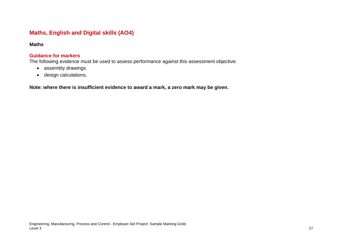# **Maths, English and Digital skills (AO4)**

#### **Maths**

#### **Guidance for markers**

The following evidence must be used to assess performance against this assessment objective:

- assembly drawings
- <span id="page-26-0"></span>• design calculations.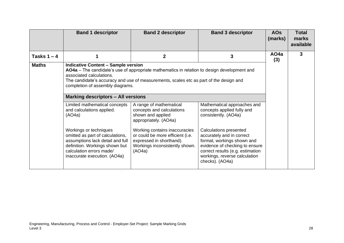|               | <b>Band 1 descriptor</b>                                                                                                                                                                                                                                                                 | <b>Band 2 descriptor</b>                                                                                                                                                                                         | <b>Band 3 descriptor</b>                                                                                                                                                          | <b>AOs</b><br>(marks)    | <b>Total</b><br>marks<br>available |  |
|---------------|------------------------------------------------------------------------------------------------------------------------------------------------------------------------------------------------------------------------------------------------------------------------------------------|------------------------------------------------------------------------------------------------------------------------------------------------------------------------------------------------------------------|-----------------------------------------------------------------------------------------------------------------------------------------------------------------------------------|--------------------------|------------------------------------|--|
| Tasks $1 - 4$ |                                                                                                                                                                                                                                                                                          | $\mathbf{2}$                                                                                                                                                                                                     | 3                                                                                                                                                                                 | AO <sub>4</sub> a<br>(3) | 3                                  |  |
| <b>Maths</b>  | <b>Indicative Content - Sample version</b><br>associated calculations.<br>completion of assembly diagrams.<br><b>Marking descriptors - All versions</b><br>Limited mathematical concepts                                                                                                 | AO4a – The candidate's use of appropriate mathematics in relation to design development and<br>The candidate's accuracy and use of measurements, scales etc as part of the design and<br>A range of mathematical |                                                                                                                                                                                   |                          |                                    |  |
|               | Mathematical approaches and<br>and calculations applied.<br>concepts applied fully and<br>concepts and calculations<br>shown and applied<br>consistently. (AO4a)<br>(AO4a)<br>appropriately. (AO4a)<br>Workings or techniques<br>Working contains inaccuracies<br>Calculations presented |                                                                                                                                                                                                                  |                                                                                                                                                                                   |                          |                                    |  |
|               | omitted as part of calculations,<br>assumptions lack detail and full<br>definition. Workings shown but<br>calculation errors made/<br>inaccurate execution. (AO4a)                                                                                                                       | or could be more efficient (i.e.<br>expressed in shorthand).<br>Workings inconsistently shown.<br>(AO4a)                                                                                                         | accurately and in correct<br>format, workings shown and<br>evidence of checking to ensure<br>correct results (e.g. estimation<br>workings, reverse calculation<br>checks). (AO4a) |                          |                                    |  |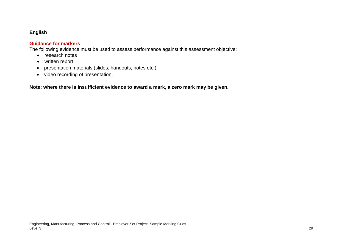### **English**

#### **Guidance for markers**

The following evidence must be used to assess performance against this assessment objective:

- research notes
- written report
- presentation materials (slides, handouts, notes etc.)
- video recording of presentation.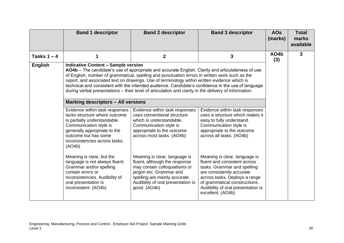|                | <b>Band 1 descriptor</b>                                                                                                                                                                                                                                                                                                                                                                                                                                                                                                 | <b>Band 2 descriptor</b>                                                                                                                                                                                                                                                                                                                                                                                                                                                                                                                                                                                                                                                                                                                                                                                                                                                                                                  | <b>Band 3 descriptor</b>                                                                                                                                                                                                                                                                                                                                                                                                                     | <b>AOs</b><br>(marks) | <b>Total</b><br>marks<br>available |
|----------------|--------------------------------------------------------------------------------------------------------------------------------------------------------------------------------------------------------------------------------------------------------------------------------------------------------------------------------------------------------------------------------------------------------------------------------------------------------------------------------------------------------------------------|---------------------------------------------------------------------------------------------------------------------------------------------------------------------------------------------------------------------------------------------------------------------------------------------------------------------------------------------------------------------------------------------------------------------------------------------------------------------------------------------------------------------------------------------------------------------------------------------------------------------------------------------------------------------------------------------------------------------------------------------------------------------------------------------------------------------------------------------------------------------------------------------------------------------------|----------------------------------------------------------------------------------------------------------------------------------------------------------------------------------------------------------------------------------------------------------------------------------------------------------------------------------------------------------------------------------------------------------------------------------------------|-----------------------|------------------------------------|
| Tasks $1 - 4$  |                                                                                                                                                                                                                                                                                                                                                                                                                                                                                                                          | $\mathbf{2}$                                                                                                                                                                                                                                                                                                                                                                                                                                                                                                                                                                                                                                                                                                                                                                                                                                                                                                              | 3                                                                                                                                                                                                                                                                                                                                                                                                                                            | AO4b<br>(3)           | 3                                  |
| <b>English</b> | <b>Indicative Content - Sample version</b><br><b>Marking descriptors - All versions</b><br>Evidence within task responses<br>lacks structure where outcome<br>is partially understandable.<br>Communication style is<br>generally appropriate to the<br>outcome but has some<br>inconsistencies across tasks.<br>(AO4b)<br>Meaning is clear, but the<br>language is not always fluent.<br>Grammar and/or spelling<br>contain errors or<br>inconsistencies. Audibility of<br>oral presentation is<br>inconsistent. (AO4b) | AO4b – The candidate's use of appropriate and accurate English. Clarity and articulateness of use<br>of English, number of grammatical, spelling and punctuation errors in written work such as the<br>report, and associated text on drawings. Use of terminology within written evidence which is<br>technical and consistent with the intended audience. Candidate's confidence in the use of language<br>during verbal presentations – their level of articulation and clarity in the delivery of information.<br>Evidence within task responses<br>uses conventional structure<br>which is understandable.<br>Communication style is<br>appropriate to the outcome<br>across most tasks. (AO4b)<br>Meaning is clear, language is<br>fluent, although the response<br>may contain colloquialisms or<br>jargon etc. Grammar and<br>spelling are mainly accurate.<br>Audibility of oral presentation is<br>good. (AO4b) | Evidence within task responses<br>uses a structure which makes it<br>easy to fully understand.<br>Communication style is<br>appropriate to the outcome<br>across all tasks. (AO4b)<br>Meaning is clear, language is<br>fluent and consistent across<br>tasks. Grammar and spelling<br>are consistently accurate<br>across tasks. Deploys a range<br>of grammatical constructions.<br>Audibility of oral presentation is<br>excellent. (AO4b) |                       |                                    |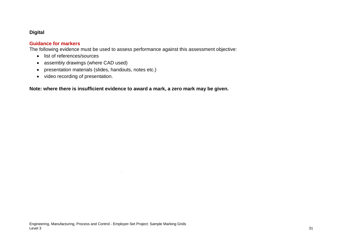### **Digital**

#### **Guidance for markers**

The following evidence must be used to assess performance against this assessment objective:

- list of references/sources
- assembly drawings (where CAD used)
- presentation materials (slides, handouts, notes etc.)
- video recording of presentation.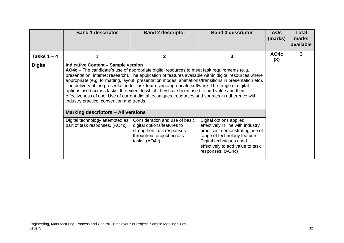|                | <b>Band 1 descriptor</b>                                                                                                                                                                                                                                                                                                                                                                                                                                                                   | <b>Band 2 descriptor</b>                                                                                                                                                                                         | <b>Band 3 descriptor</b>                                                                                                                                                                                             | <b>AOs</b><br>(marks) | <b>Total</b><br>marks<br>available |
|----------------|--------------------------------------------------------------------------------------------------------------------------------------------------------------------------------------------------------------------------------------------------------------------------------------------------------------------------------------------------------------------------------------------------------------------------------------------------------------------------------------------|------------------------------------------------------------------------------------------------------------------------------------------------------------------------------------------------------------------|----------------------------------------------------------------------------------------------------------------------------------------------------------------------------------------------------------------------|-----------------------|------------------------------------|
| Tasks $1 - 4$  |                                                                                                                                                                                                                                                                                                                                                                                                                                                                                            | 2                                                                                                                                                                                                                | 3                                                                                                                                                                                                                    | AO4c<br>(3)           | 3                                  |
| <b>Digital</b> | <b>Indicative Content - Sample version</b><br>AO4c – The candidate's use of appropriate digital resources to meet task requirements (e.g.<br>The delivery of the presentation for task four using appropriate software. The range of digital<br>options used across tasks, the extent to which they have been used to add value and their<br>effectiveness of use. Use of current digital techniques, resources and sources in adherence with<br>industry practice, convention and trends. | presentation, internet research). The application of features available within digital resources where<br>appropriate (e.g. formatting, layout, presentation modes, animations/transitions in presentation etc). |                                                                                                                                                                                                                      |                       |                                    |
|                | <b>Marking descriptors - All versions</b><br>Digital technology attempted as<br>part of task responses. (AO4c)                                                                                                                                                                                                                                                                                                                                                                             | Consideration and use of basic<br>digital options/features to<br>strengthen task responses<br>throughout project across<br>tasks. (AO4c)                                                                         | Digital options applied<br>effectively in line with industry<br>practices, demonstrating use of<br>range of technology features.<br>Digital techniques used<br>effectively to add value to task<br>responses. (AO4c) |                       |                                    |